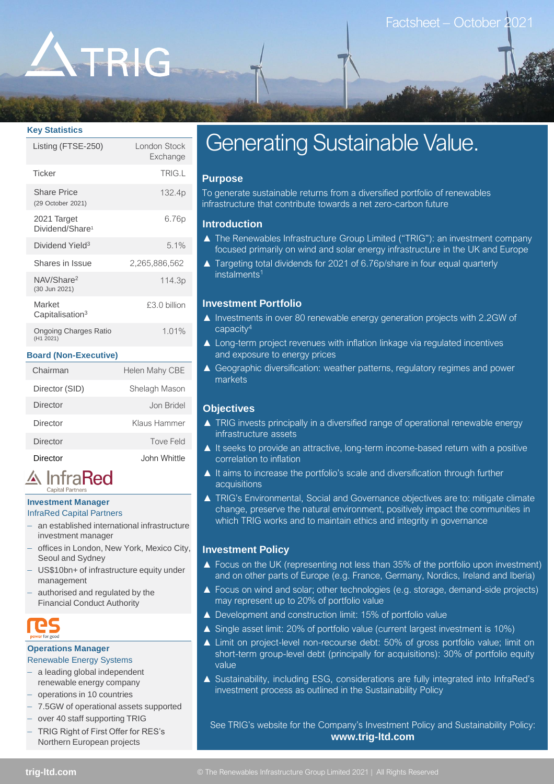# ATRIG

#### **Key Statistics**

| Listing (FTSE-250)                         | London Stock<br>Exchange |
|--------------------------------------------|--------------------------|
| <b>Ticker</b>                              | TRIG.L                   |
| <b>Share Price</b><br>(29 October 2021)    | 132.4p                   |
| 2021 Target<br>Dividend/Share <sup>1</sup> | 6.76p                    |
| Dividend Yield <sup>3</sup>                | 5.1%                     |
| Shares in Issue                            | 2,265,886,562            |
| NAV/Share <sup>2</sup><br>(30 Jun 2021)    | 114.3p                   |
| Market<br>Capitalisation <sup>3</sup>      | £3.0 billion             |
| <b>Ongoing Charges Ratio</b><br>(H1 2021)  | 1.01%                    |

#### **Board (Non-Executive)**

| Chairman       | Helen Mahy CBE |
|----------------|----------------|
| Director (SID) | Shelagh Mason  |
| Director       | Jon Bridel     |
| Director       | Klaus Hammer   |
| Director       | Tove Feld      |
| Director       | John Whittle   |

## A InfraRed

#### **Investment Manager** InfraRed Capital Partners

– an established international infrastructure investment manager

- offices in London, New York, Mexico City, Seoul and Sydney
- US\$10bn+ of infrastructure equity under management
- authorised and regulated by the Financial Conduct Authority

#### **Operations Manager**

### Renewable Energy Systems

- a leading global independent renewable energy company
- operations in 10 countries
- 7.5GW of operational assets supported
- over 40 staff supporting TRIG
- TRIG Right of First Offer for RES's Northern European projects

## Generating Sustainable Value.

### **Purpose**

To generate sustainable returns from a diversified portfolio of renewables infrastructure that contribute towards a net zero-carbon future

#### **Introduction**

- ▲ The Renewables Infrastructure Group Limited ("TRIG"): an investment company focused primarily on wind and solar energy infrastructure in the UK and Europe
- ▲ Targeting total dividends for 2021 of 6.76p/share in four equal quarterly  $instalments<sup>1</sup>$

#### **Investment Portfolio**

- ▲ Investments in over 80 renewable energy generation projects with 2.2GW of capacity<sup>4</sup>
- ▲ Long-term project revenues with inflation linkage via regulated incentives and exposure to energy prices
- ▲ Geographic diversification: weather patterns, regulatory regimes and power markets

#### **Objectives**

- ▲ TRIG invests principally in a diversified range of operational renewable energy infrastructure assets
- ▲ It seeks to provide an attractive, long-term income-based return with a positive correlation to inflation
- ▲ It aims to increase the portfolio's scale and diversification through further acquisitions
- ▲ TRIG's Environmental, Social and Governance objectives are to: mitigate climate change, preserve the natural environment, positively impact the communities in which TRIG works and to maintain ethics and integrity in governance

#### **Investment Policy**

- ▲ Focus on the UK (representing not less than 35% of the portfolio upon investment) and on other parts of Europe (e.g. France, Germany, Nordics, Ireland and Iberia)
- ▲ Focus on wind and solar; other technologies (e.g. storage, demand-side projects) may represent up to 20% of portfolio value
- ▲ Development and construction limit: 15% of portfolio value
- ▲ Single asset limit: 20% of portfolio value (current largest investment is 10%)
- ▲ Limit on project-level non-recourse debt: 50% of gross portfolio value; limit on short-term group-level debt (principally for acquisitions): 30% of portfolio equity value
- ▲ Sustainability, including ESG, considerations are fully integrated into InfraRed's investment process as outlined in the Sustainability Policy

See TRIG's website for the Company's Investment Policy and Sustainability Policy: **www.trig-ltd.com**